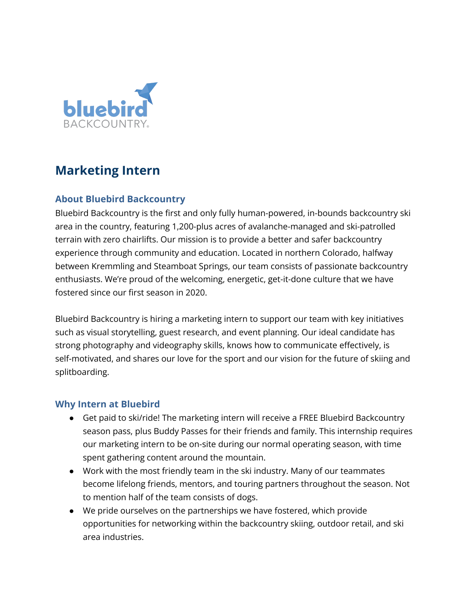

# **Marketing Intern**

## **About Bluebird Backcountry**

Bluebird Backcountry is the first and only fully human-powered, in-bounds backcountry ski area in the country, featuring 1,200-plus acres of avalanche-managed and ski-patrolled terrain with zero chairlifts. Our mission is to provide a better and safer backcountry experience through community and education. Located in northern Colorado, halfway between Kremmling and Steamboat Springs, our team consists of passionate backcountry enthusiasts. We're proud of the welcoming, energetic, get-it-done culture that we have fostered since our first season in 2020.

Bluebird Backcountry is hiring a marketing intern to support our team with key initiatives such as visual storytelling, guest research, and event planning. Our ideal candidate has strong photography and videography skills, knows how to communicate effectively, is self-motivated, and shares our love for the sport and our vision for the future of skiing and splitboarding.

#### **Why Intern at Bluebird**

- Get paid to ski/ride! The marketing intern will receive a FREE Bluebird Backcountry season pass, plus Buddy Passes for their friends and family. This internship requires our marketing intern to be on-site during our normal operating season, with time spent gathering content around the mountain.
- Work with the most friendly team in the ski industry. Many of our teammates become lifelong friends, mentors, and touring partners throughout the season. Not to mention half of the team consists of dogs.
- We pride ourselves on the partnerships we have fostered, which provide opportunities for networking within the backcountry skiing, outdoor retail, and ski area industries.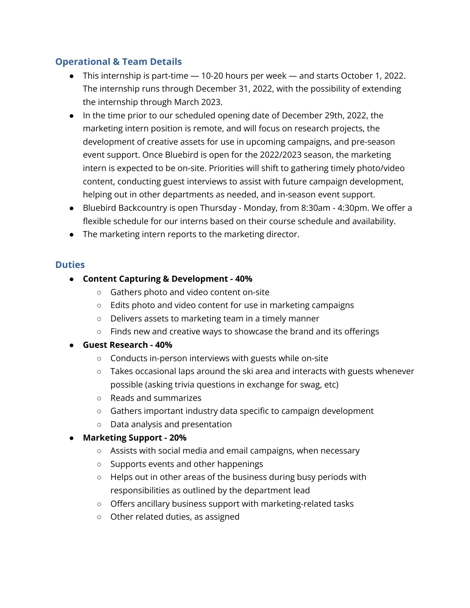## **Operational & Team Details**

- This internship is part-time 10-20 hours per week and starts October 1, 2022. The internship runs through December 31, 2022, with the possibility of extending the internship through March 2023.
- In the time prior to our scheduled opening date of December 29th, 2022, the marketing intern position is remote, and will focus on research projects, the development of creative assets for use in upcoming campaigns, and pre-season event support. Once Bluebird is open for the 2022/2023 season, the marketing intern is expected to be on-site. Priorities will shift to gathering timely photo/video content, conducting guest interviews to assist with future campaign development, helping out in other departments as needed, and in-season event support.
- Bluebird Backcountry is open Thursday Monday, from 8:30am 4:30pm. We offer a flexible schedule for our interns based on their course schedule and availability.
- The marketing intern reports to the marketing director.

### **Duties**

- **Content Capturing & Development - 40%**
	- Gathers photo and video content on-site
	- Edits photo and video content for use in marketing campaigns
	- Delivers assets to marketing team in a timely manner
	- Finds new and creative ways to showcase the brand and its offerings

#### ● **Guest Research - 40%**

- Conducts in-person interviews with guests while on-site
- Takes occasional laps around the ski area and interacts with guests whenever possible (asking trivia questions in exchange for swag, etc)
- Reads and summarizes
- Gathers important industry data specific to campaign development
- Data analysis and presentation

## ● **Marketing Support - 20%**

- Assists with social media and email campaigns, when necessary
- Supports events and other happenings
- Helps out in other areas of the business during busy periods with responsibilities as outlined by the department lead
- Offers ancillary business support with marketing-related tasks
- Other related duties, as assigned